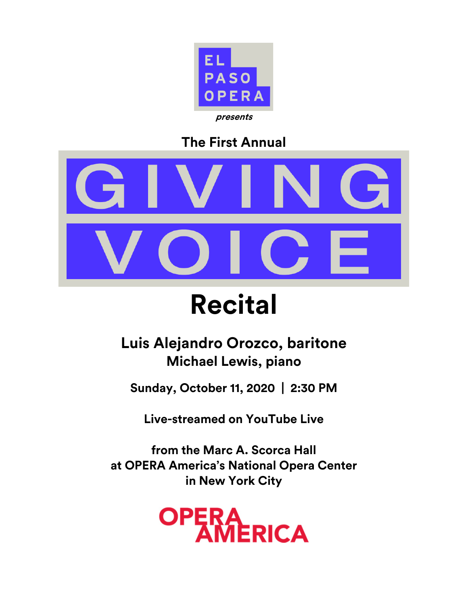

## **The First Annual**



# **Recital**

## **Luis Alejandro Orozco, baritone Michael Lewis, piano**

**Sunday, October 11, 2020 | 2:30 PM**

**Live-streamed on YouTube Live** 

**from the Marc A. Scorca Hall at OPERA America's National Opera Center in New York City**

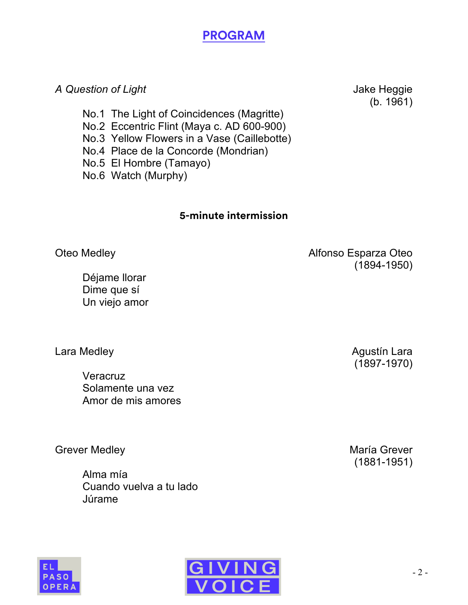## **PROGRAM**

#### A Question of Light **A** Question of Light

(b. 1961)

- No.1 The Light of Coincidences (Magritte)
- No.2 Eccentric Flint (Maya c. AD 600-900)
- No.3 Yellow Flowers in a Vase (Caillebotte)
- No.4 Place de la Concorde (Mondrian)
- No.5 El Hombre (Tamayo)
- No.6 Watch (Murphy)

#### **5-minute intermission**

Déjame llorar Dime que sí Un viejo amor

**Veracruz** Solamente una vez Amor de mis amores

Grever Medley **Maria Grever** María Grever

Alma mía Cuando vuelva a tu lado Júrame



Lara Medley **Agustín Lara** Agustín Lara (1897-1970)

(1881-1951)



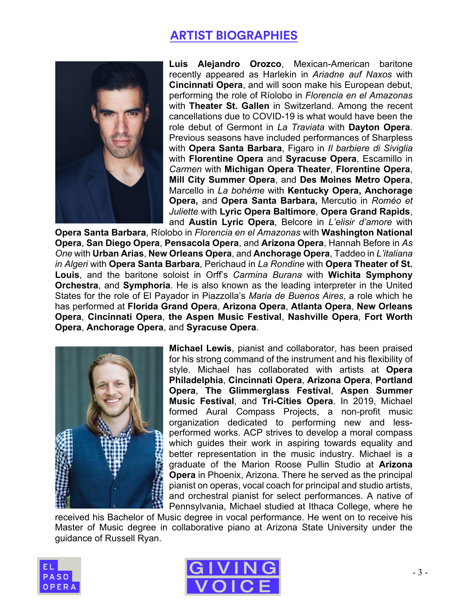## **ARTIST BIOGRAPHIES**



**Luis Alejandro Orozco**, Mexican-American baritone recently appeared as Harlekin in *Ariadne auf Naxos* with **Cincinnati Opera**, and will soon make his European debut, performing the role of Ríolobo in *Florencia en el Amazonas*  with **Theater St. Gallen** in Switzerland. Among the recent cancellations due to COVID-19 is what would have been the role debut of Germont in *La Traviata* with **Dayton Opera**. Previous seasons have included performances of Sharpless with **Opera Santa Barbara**, Figaro in *Il barbiere di Siviglia*  with **Florentine Opera** and **Syracuse Opera**, Escamillo in *Carmen* with **Michigan Opera Theater**, **Florentine Opera**, **Mill City Summer Opera**, and **Des Moines Metro Opera**, Marcello in *La bohéme* with **Kentucky Opera, Anchorage Opera,** and **Opera Santa Barbara,** Mercutio in *Roméo et Juliette* with **Lyric Opera Baltimore**, **Opera Grand Rapids**, and **Austin Lyric Opera**, Belcore in *L'elisir d'amore* with

**Opera Santa Barbara**, Ríolobo in *Florencia en el Amazonas* with **Washington National Opera**, **San Diego Opera**, **Pensacola Opera**, and **Arizona Opera**, Hannah Before in *As One* with **Urban Arias**, **New Orleans Opera**, and **Anchorage Opera**, Taddeo in *L'italiana in Algeri* with **Opera Santa Barbara**, Perichaud in *La Rondine* with **Opera Theater of St. Louis**, and the baritone soloist in Orff's *Carmina Burana* with **Wichita Symphony Orchestra**, and **Symphoria**. He is also known as the leading interpreter in the United States for the role of El Payador in Piazzolla's *Maria de Buenos Aires*, a role which he has performed at **Florida Grand Opera**, **Arizona Opera**, **Atlanta Opera**, **New Orleans Opera**, **Cincinnati Opera**, **the Aspen Music Festival**, **Nashville Opera**, **Fort Worth Opera**, **Anchorage Opera**, and **Syracuse Opera**.



**Michael Lewis**, pianist and collaborator, has been praised for his strong command of the instrument and his flexibility of style. Michael has collaborated with artists at **Opera Philadelphia**, **Cincinnati Opera**, **Arizona Opera**, **Portland Opera**, **The Glimmerglass Festival**, **Aspen Summer Music Festival**, and **Tri-Cities Opera**. In 2019, Michael formed Aural Compass Projects, a non-profit music organization dedicated to performing new and lessperformed works. ACP strives to develop a moral compass which guides their work in aspiring towards equality and better representation in the music industry. Michael is a graduate of the Marion Roose Pullin Studio at **Arizona Opera** in Phoenix, Arizona. There he served as the principal pianist on operas, vocal coach for principal and studio artists, and orchestral pianist for select performances. A native of Pennsylvania, Michael studied at Ithaca College, where he

received his Bachelor of Music degree in vocal performance. He went on to receive his Master of Music degree in collaborative piano at Arizona State University under the guidance of Russell Ryan.



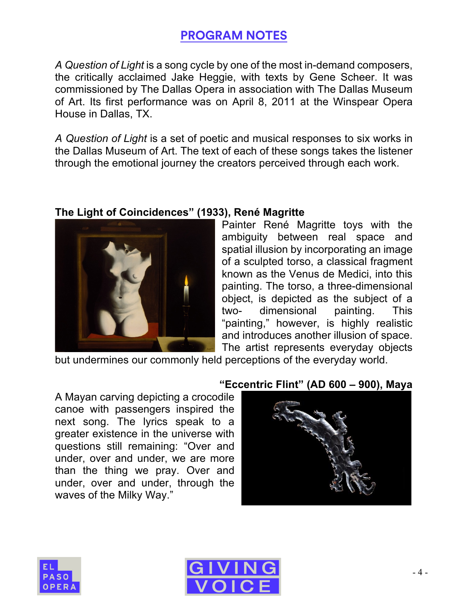## **PROGRAM NOTES**

*A Question of Light* is a song cycle by one of the most in-demand composers, the critically acclaimed Jake Heggie, with texts by Gene Scheer. It was commissioned by The Dallas Opera in association with The Dallas Museum of Art. Its first performance was on April 8, 2011 at the Winspear Opera House in Dallas, TX.

*A Question of Light* is a set of poetic and musical responses to six works in the Dallas Museum of Art. The text of each of these songs takes the listener through the emotional journey the creators perceived through each work.



#### **The Light of Coincidences" (1933), René Magritte**

Painter René Magritte toys with the ambiguity between real space and spatial illusion by incorporating an image of a sculpted torso, a classical fragment known as the Venus de Medici, into this painting. The torso, a three-dimensional object, is depicted as the subject of a two- dimensional painting. This "painting," however, is highly realistic and introduces another illusion of space. The artist represents everyday objects

but undermines our commonly held perceptions of the everyday world.

A Mayan carving depicting a crocodile canoe with passengers inspired the next song. The lyrics speak to a greater existence in the universe with questions still remaining: "Over and under, over and under, we are more than the thing we pray. Over and under, over and under, through the waves of the Milky Way."

#### **"Eccentric Flint" (AD 600 – 900), Maya**





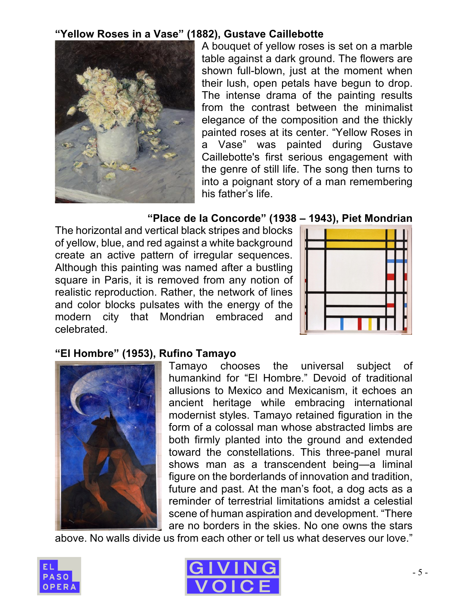#### **"Yellow Roses in a Vase" (1882), Gustave Caillebotte**



A bouquet of yellow roses is set on a marble table against a dark ground. The flowers are shown full-blown, just at the moment when their lush, open petals have begun to drop. The intense drama of the painting results from the contrast between the minimalist elegance of the composition and the thickly painted roses at its center. "Yellow Roses in a Vase" was painted during Gustave Caillebotte's first serious engagement with the genre of still life. The song then turns to into a poignant story of a man remembering his father's life.

#### **"Place de la Concorde" (1938 – 1943), Piet Mondrian**

The horizontal and vertical black stripes and blocks of yellow, blue, and red against a white background create an active pattern of irregular sequences. Although this painting was named after a bustling square in Paris, it is removed from any notion of realistic reproduction. Rather, the network of lines and color blocks pulsates with the energy of the modern city that Mondrian embraced and celebrated.



#### **"El Hombre" (1953), Rufino Tamayo**



Tamayo chooses the universal subject of humankind for "El Hombre." Devoid of traditional allusions to Mexico and Mexicanism, it echoes an ancient heritage while embracing international modernist styles. Tamayo retained figuration in the form of a colossal man whose abstracted limbs are both firmly planted into the ground and extended toward the constellations. This three-panel mural shows man as a transcendent being—a liminal figure on the borderlands of innovation and tradition, future and past. At the man's foot, a dog acts as a reminder of terrestrial limitations amidst a celestial scene of human aspiration and development. "There are no borders in the skies. No one owns the stars

above. No walls divide us from each other or tell us what deserves our love."



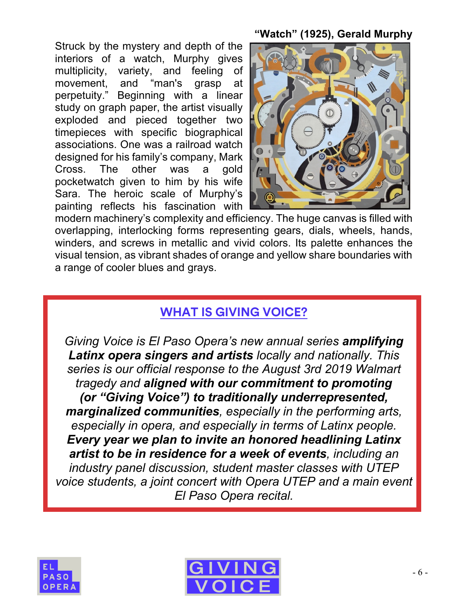Struck by the mystery and depth of the interiors of a watch, Murphy gives multiplicity, variety, and feeling of movement, and "man's grasp at perpetuity." Beginning with a linear study on graph paper, the artist visually exploded and pieced together two timepieces with specific biographical associations. One was a railroad watch designed for his family's company, Mark Cross. The other was a gold pocketwatch given to him by his wife Sara. The heroic scale of Murphy's painting reflects his fascination with

#### **"Watch" (1925), Gerald Murphy**



modern machinery's complexity and efficiency. The huge canvas is filled with overlapping, interlocking forms representing gears, dials, wheels, hands, winders, and screws in metallic and vivid colors. Its palette enhances the visual tension, as vibrant shades of orange and yellow share boundaries with a range of cooler blues and grays.

### **WHAT IS GIVING VOICE?**

*Giving Voice is El Paso Opera's new annual series amplifying Latinx opera singers and artists locally and nationally. This series is our official response to the August 3rd 2019 Walmart tragedy and aligned with our commitment to promoting (or "Giving Voice") to traditionally underrepresented, marginalized communities, especially in the performing arts, especially in opera, and especially in terms of Latinx people. Every year we plan to invite an honored headlining Latinx artist to be in residence for a week of events, including an industry panel discussion, student master classes with UTEP voice students, a joint concert with Opera UTEP and a main event El Paso Opera recital.*



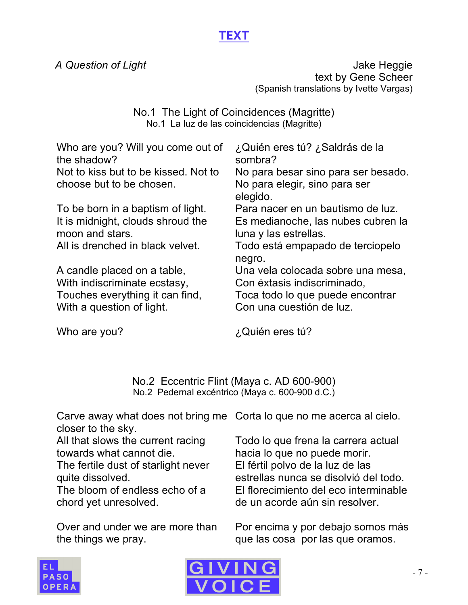## **TEXT**

A Question of Light **A** Question of Light text by Gene Scheer (Spanish translations by Ivette Vargas)

> No.1 The Light of Coincidences (Magritte) No.1 La luz de las coincidencias (Magritte)

| Who are you? Will you come out of<br>the shadow?     | ¿Quién eres tú? ¿Saldrás de la<br>sombra?                   |
|------------------------------------------------------|-------------------------------------------------------------|
| Not to kiss but to be kissed. Not to                 | No para besar sino para ser besado.                         |
| choose but to be chosen.                             | No para elegir, sino para ser<br>elegido.                   |
| To be born in a baptism of light.                    | Para nacer en un bautismo de luz.                           |
| It is midnight, clouds shroud the<br>moon and stars. | Es medianoche, las nubes cubren la<br>luna y las estrellas. |
| All is drenched in black velvet.                     | Todo está empapado de terciopelo<br>negro.                  |
| A candle placed on a table,                          | Una vela colocada sobre una mesa,                           |
| With indiscriminate ecstasy,                         | Con éxtasis indiscriminado,                                 |
| Touches everything it can find,                      | Toca todo lo que puede encontrar                            |
| With a question of light.                            | Con una cuestión de luz.                                    |

Who are you?

¿Quién eres tú?

No.2 Eccentric Flint (Maya c. AD 600-900) No.2 Pedernal excéntrico (Maya c. 600-900 d.C.)

Carve away what does not bring me Corta lo que no me acerca al cielo. closer to the sky.

All that slows the current racing towards what cannot die.

The fertile dust of starlight never quite dissolved.

The bloom of endless echo of a chord yet unresolved.

Over and under we are more than the things we pray.

Todo lo que frena la carrera actual hacia lo que no puede morir. El fértil polvo de la luz de las estrellas nunca se disolvió del todo. El florecimiento del eco interminable de un acorde aún sin resolver.

Por encima y por debajo somos más que las cosa por las que oramos.



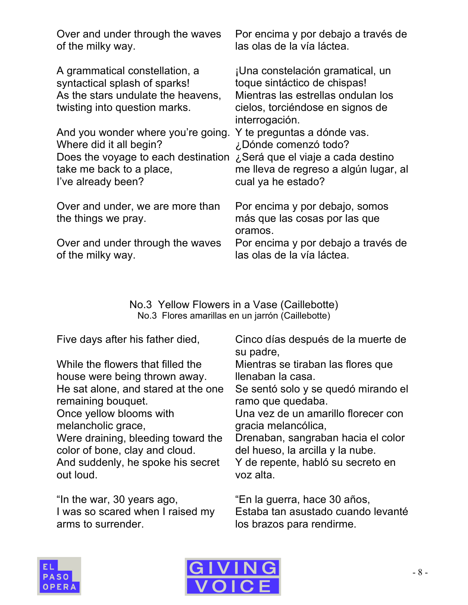| Over and under through the waves                                                                                                       | Por encima y por debajo a través de                                                                                                                          |
|----------------------------------------------------------------------------------------------------------------------------------------|--------------------------------------------------------------------------------------------------------------------------------------------------------------|
| of the milky way.                                                                                                                      | las olas de la vía láctea.                                                                                                                                   |
| A grammatical constellation, a<br>syntactical splash of sparks!<br>As the stars undulate the heavens,<br>twisting into question marks. | ¡Una constelación gramatical, un<br>toque sintáctico de chispas!<br>Mientras las estrellas ondulan los<br>cielos, torciéndose en signos de<br>interrogación. |
| And you wonder where you're going.                                                                                                     | Y te preguntas a dónde vas.                                                                                                                                  |
| Where did it all begin?                                                                                                                | ¿Dónde comenzó todo?                                                                                                                                         |
| Does the voyage to each destination                                                                                                    | ¿Será que el viaje a cada destino                                                                                                                            |
| take me back to a place,                                                                                                               | me lleva de regreso a algún lugar, al                                                                                                                        |
| I've already been?                                                                                                                     | cual ya he estado?                                                                                                                                           |
| Over and under, we are more than<br>the things we pray.                                                                                | Por encima y por debajo, somos<br>más que las cosas por las que<br>oramos.                                                                                   |
| Over and under through the waves                                                                                                       | Por encima y por debajo a través de                                                                                                                          |
| of the milky way.                                                                                                                      | las olas de la vía láctea.                                                                                                                                   |

No.3 Yellow Flowers in a Vase (Caillebotte) No.3 Flores amarillas en un jarrón (Caillebotte)

Five days after his father died,

While the flowers that filled the house were being thrown away. He sat alone, and stared at the one remaining bouquet. Once yellow blooms with melancholic grace, Were draining, bleeding toward the color of bone, clay and cloud. And suddenly, he spoke his secret out loud.

"In the war, 30 years ago, I was so scared when I raised my arms to surrender.

Cinco días después de la muerte de su padre,

Mientras se tiraban las flores que llenaban la casa.

Se sentó solo y se quedó mirando el ramo que quedaba.

Una vez de un amarillo florecer con gracia melancólica,

Drenaban, sangraban hacia el color del hueso, la arcilla y la nube.

Y de repente, habló su secreto en voz alta.

"En la guerra, hace 30 años, Estaba tan asustado cuando levanté los brazos para rendirme.



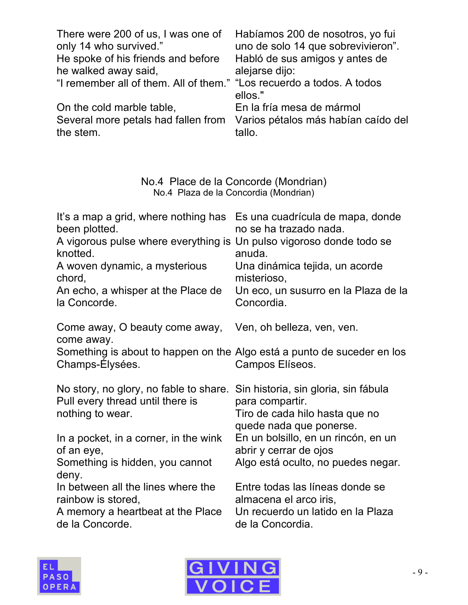| There were 200 of us, I was one of                                    | Habíamos 200 de nosotros, yo fui    |
|-----------------------------------------------------------------------|-------------------------------------|
| only 14 who survived."                                                | uno de solo 14 que sobrevivieron".  |
| He spoke of his friends and before                                    | Habló de sus amigos y antes de      |
| he walked away said,                                                  | alejarse dijo:                      |
| "I remember all of them. All of them." "Los recuerdo a todos. A todos |                                     |
|                                                                       | ellos."                             |
| On the cold marble table,                                             | En la fría mesa de mármol           |
| Several more petals had fallen from                                   | Varios pétalos más habían caído del |
| the stem.                                                             | tallo.                              |

#### No.4 Place de la Concorde (Mondrian) No.4 Plaza de la Concordia (Mondrian)

| Es una cuadrícula de mapa, donde<br>no se ha trazado nada.<br>A vigorous pulse where everything is<br>Un pulso vigoroso donde todo se<br>anuda.<br>Una dinámica tejida, un acorde<br>misterioso,<br>Un eco, un susurro en la Plaza de la<br>Concordia. |
|--------------------------------------------------------------------------------------------------------------------------------------------------------------------------------------------------------------------------------------------------------|
| Ven, oh belleza, ven, ven.                                                                                                                                                                                                                             |
| Something is about to happen on the Algo está a punto de suceder en los<br>Campos Elíseos.                                                                                                                                                             |
| No story, no glory, no fable to share. Sin historia, sin gloria, sin fábula<br>para compartir.<br>Tiro de cada hilo hasta que no<br>quede nada que ponerse.                                                                                            |
| En un bolsillo, en un rincón, en un<br>abrir y cerrar de ojos<br>Algo está oculto, no puedes negar.                                                                                                                                                    |
| Entre todas las líneas donde se<br>almacena el arco iris,<br>Un recuerdo un latido en la Plaza<br>de la Concordia.                                                                                                                                     |
|                                                                                                                                                                                                                                                        |



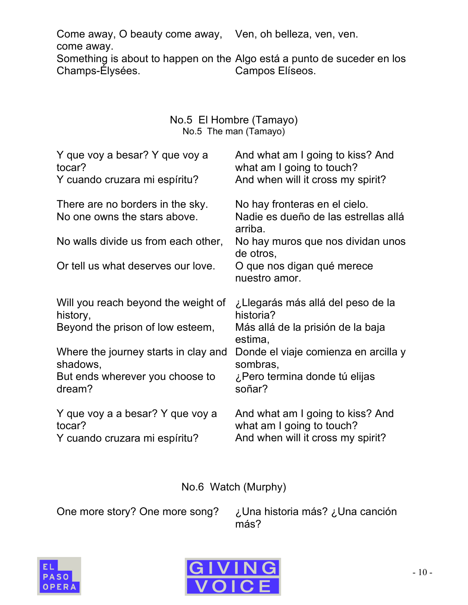Come away, O beauty come away, Ven, oh belleza, ven, ven. come away. Something is about to happen on the Algo está a punto de suceder en los Champs-Élysées. Campos Elíseos.

#### No.5 El Hombre (Tamayo) No.5 The man (Tamayo)

| Y que voy a besar? Y que voy a                                   | And what am I going to kiss? And                                                 |
|------------------------------------------------------------------|----------------------------------------------------------------------------------|
| tocar?                                                           | what am I going to touch?                                                        |
| Y cuando cruzara mi espíritu?                                    | And when will it cross my spirit?                                                |
| There are no borders in the sky.<br>No one owns the stars above. | No hay fronteras en el cielo.<br>Nadie es dueño de las estrellas allá<br>arriba. |
| No walls divide us from each other,                              | No hay muros que nos dividan unos<br>de otros,                                   |
| Or tell us what deserves our love.                               | O que nos digan qué merece<br>nuestro amor.                                      |
| Will you reach beyond the weight of                              | ¿Llegarás más allá del peso de la                                                |
| history,                                                         | historia?                                                                        |
| Beyond the prison of low esteem,                                 | Más allá de la prisión de la baja<br>estima,                                     |
| Where the journey starts in clay and                             | Donde el viaje comienza en arcilla y                                             |
| shadows,                                                         | sombras,                                                                         |
| But ends wherever you choose to                                  | ¿Pero termina donde tú elijas                                                    |
| dream?                                                           | soñar?                                                                           |
| Y que voy a a besar? Y que voy a                                 | And what am I going to kiss? And                                                 |
| tocar?                                                           | what am I going to touch?                                                        |
| Y cuando cruzara mi espíritu?                                    | And when will it cross my spirit?                                                |

No.6 Watch (Murphy)

One more story? One more song? ¿Una historia más? ¿Una canción más?



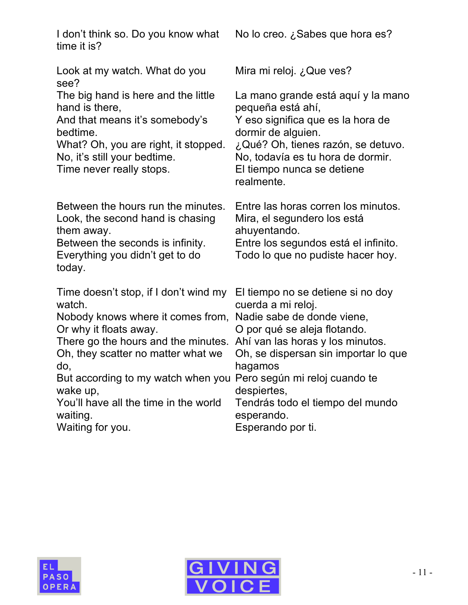| I don't think so. Do you know what<br>time it is?                                                                                                                     | No lo creo. ¿Sabes que hora es?                                                                                                                                 |
|-----------------------------------------------------------------------------------------------------------------------------------------------------------------------|-----------------------------------------------------------------------------------------------------------------------------------------------------------------|
| Look at my watch. What do you                                                                                                                                         | Mira mi reloj. ¿Que ves?                                                                                                                                        |
| see?                                                                                                                                                                  | La mano grande está aquí y la mano                                                                                                                              |
| The big hand is here and the little                                                                                                                                   | pequeña está ahí,                                                                                                                                               |
| hand is there,                                                                                                                                                        | Y eso significa que es la hora de                                                                                                                               |
| And that means it's somebody's                                                                                                                                        | dormir de alguien.                                                                                                                                              |
| bedtime.                                                                                                                                                              | ¿Qué? Oh, tienes razón, se detuvo.                                                                                                                              |
| What? Oh, you are right, it stopped.                                                                                                                                  | No, todavía es tu hora de dormir.                                                                                                                               |
| No, it's still your bedtime.                                                                                                                                          | El tiempo nunca se detiene                                                                                                                                      |
| Time never really stops.                                                                                                                                              | realmente.                                                                                                                                                      |
| Between the hours run the minutes.<br>Look, the second hand is chasing<br>them away.<br>Between the seconds is infinity.<br>Everything you didn't get to do<br>today. | Entre las horas corren los minutos.<br>Mira, el segundero los está<br>ahuyentando.<br>Entre los segundos está el infinito.<br>Todo lo que no pudiste hacer hoy. |
| Time doesn't stop, if I don't wind my                                                                                                                                 | El tiempo no se detiene si no doy                                                                                                                               |
| watch.                                                                                                                                                                | cuerda a mi reloj.                                                                                                                                              |
| Nobody knows where it comes from,                                                                                                                                     | Nadie sabe de donde viene,                                                                                                                                      |
| Or why it floats away.                                                                                                                                                | O por qué se aleja flotando.                                                                                                                                    |
| There go the hours and the minutes.                                                                                                                                   | Ahí van las horas y los minutos.                                                                                                                                |
| Oh, they scatter no matter what we                                                                                                                                    | Oh, se dispersan sin importar lo que                                                                                                                            |
| do,                                                                                                                                                                   | hagamos                                                                                                                                                         |
| But according to my watch when you                                                                                                                                    | Pero según mi reloj cuando te                                                                                                                                   |
| wake up,                                                                                                                                                              | despiertes,                                                                                                                                                     |
| You'll have all the time in the world                                                                                                                                 | Tendrás todo el tiempo del mundo                                                                                                                                |
| waiting.                                                                                                                                                              | esperando.                                                                                                                                                      |
| Waiting for you.                                                                                                                                                      | Esperando por ti.                                                                                                                                               |



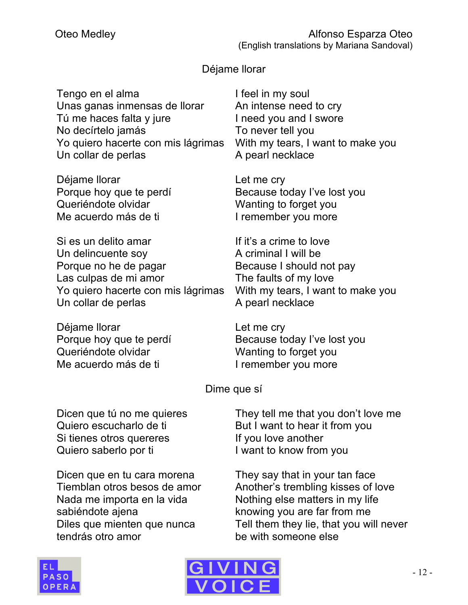#### Déjame llorar

| Tengo en el alma<br>Unas ganas inmensas de llorar<br>Tú me haces falta y jure<br>No decírtelo jamás<br>Yo quiero hacerte con mis lágrimas | I feel in my soul<br>An intense need to cry<br>I need you and I swore<br>To never tell you<br>With my tears, I want to make y |
|-------------------------------------------------------------------------------------------------------------------------------------------|-------------------------------------------------------------------------------------------------------------------------------|
| Un collar de perlas                                                                                                                       | A pearl necklace                                                                                                              |
|                                                                                                                                           |                                                                                                                               |

Déjame llorar Porque hoy que te perdí Queriéndote olvidar Me acuerdo más de ti

Si es un delito amar Un delincuente soy Porque no he de pagar Las culpas de mi amor Yo quiero hacerte con mis lágrimas Un collar de perlas

Déjame llorar Porque hoy que te perdí Queriéndote olvidar Me acuerdo más de ti

With my tears, I want to make you

Let me cry Because today I've lost you Wanting to forget you I remember you more

If it's a crime to love A criminal I will be Because I should not pay The faults of my love With my tears, I want to make you A pearl necklace

Let me cry Because today I've lost you Wanting to forget you I remember you more

Dime que sí

Dicen que tú no me quieres Quiero escucharlo de ti Si tienes otros quereres Quiero saberlo por ti

Dicen que en tu cara morena Tiemblan otros besos de amor Nada me importa en la vida sabiéndote ajena Diles que mienten que nunca tendrás otro amor

They tell me that you don't love me But I want to hear it from you If you love another I want to know from you

They say that in your tan face Another's trembling kisses of love Nothing else matters in my life knowing you are far from me Tell them they lie, that you will never be with someone else



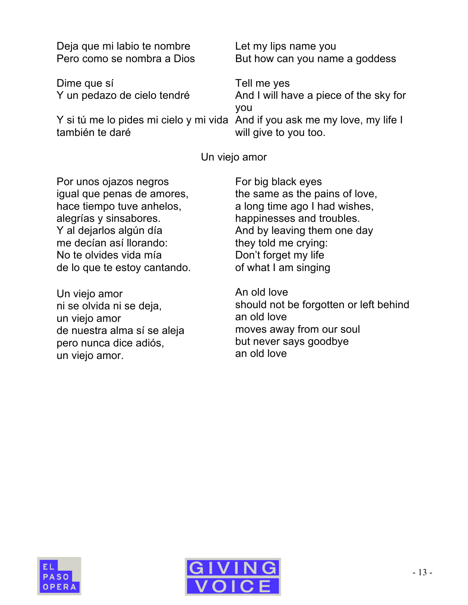| Deja que mi labio te nombre                                                                    | Let my lips name you                          |
|------------------------------------------------------------------------------------------------|-----------------------------------------------|
| Pero como se nombra a Dios                                                                     | But how can you name a goddess                |
| Dime que sí                                                                                    | Tell me yes                                   |
| Y un pedazo de cielo tendré                                                                    | And I will have a piece of the sky for<br>you |
| Y si tú me lo pides mi cielo y mi vida And if you ask me my love, my life I<br>también te daré | will give to you too.                         |

Un viejo amor

Por unos ojazos negros igual que penas de amores, hace tiempo tuve anhelos, alegrías y sinsabores. Y al dejarlos algún día me decían así llorando: No te olvides vida mía de lo que te estoy cantando.

Un viejo amor ni se olvida ni se deja, un viejo amor de nuestra alma sí se aleja pero nunca dice adiós, un viejo amor.

For big black eyes the same as the pains of love, a long time ago I had wishes, happinesses and troubles. And by leaving them one day they told me crying: Don't forget my life of what I am singing

An old love should not be forgotten or left behind an old love moves away from our soul but never says goodbye an old love



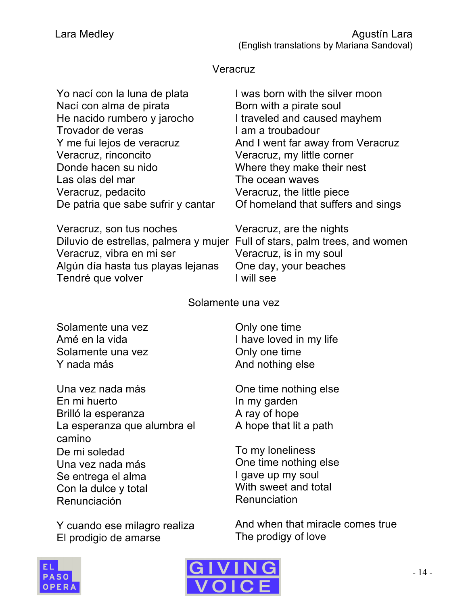#### Veracruz

| Yo nací con la luna de plata       | I was born with the silver moon    |
|------------------------------------|------------------------------------|
| Nací con alma de pirata            | Born with a pirate soul            |
| He nacido rumbero y jarocho        | I traveled and caused mayhem       |
| Trovador de veras                  | I am a troubadour                  |
| Y me fui lejos de veracruz         | And I went far away from Veracruz  |
| Veracruz, rinconcito               | Veracruz, my little corner         |
| Donde hacen su nido                | Where they make their nest         |
| Las olas del mar                   | The ocean waves                    |
| Veracruz, pedacito                 | Veracruz, the little piece         |
| De patria que sabe sufrir y cantar | Of homeland that suffers and sings |

Veracruz, son tus noches Veracruz, vibra en mi ser Algún día hasta tus playas lejanas Tendré que volver

Diluvio de estrellas, palmera y mujer Full of stars, palm trees, and women Veracruz, are the nights Veracruz, is in my soul One day, your beaches I will see

Solamente una vez

Solamente una vez Amé en la vida Solamente una vez Y nada más

Una vez nada más En mi huerto Brilló la esperanza La esperanza que alumbra el camino De mi soledad Una vez nada más Se entrega el alma Con la dulce y total Renunciación

Y cuando ese milagro realiza El prodigio de amarse

Only one time I have loved in my life Only one time And nothing else

One time nothing else In my garden A ray of hope A hope that lit a path

To my loneliness One time nothing else I gave up my soul With sweet and total Renunciation

And when that miracle comes true The prodigy of love



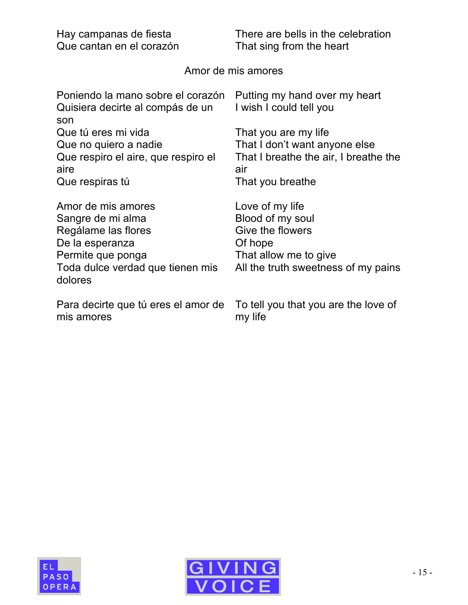| Hay campanas de fiesta                                                                                                                                | There are bells in the celebration                                                                                                 |
|-------------------------------------------------------------------------------------------------------------------------------------------------------|------------------------------------------------------------------------------------------------------------------------------------|
| Que cantan en el corazón                                                                                                                              | That sing from the heart                                                                                                           |
|                                                                                                                                                       | Amor de mis amores                                                                                                                 |
| Poniendo la mano sobre el corazón<br>Quisiera decirte al compás de un<br>son                                                                          | Putting my hand over my heart<br>I wish I could tell you                                                                           |
| Que tú eres mi vida                                                                                                                                   | That you are my life                                                                                                               |
| Que no quiero a nadie                                                                                                                                 | That I don't want anyone else                                                                                                      |
| Que respiro el aire, que respiro el                                                                                                                   | That I breathe the air, I breathe the                                                                                              |
| aire                                                                                                                                                  | air                                                                                                                                |
| Que respiras tú                                                                                                                                       | That you breathe                                                                                                                   |
| Amor de mis amores<br>Sangre de mi alma<br>Regálame las flores<br>De la esperanza<br>Permite que ponga<br>Toda dulce verdad que tienen mis<br>dolores | Love of my life<br>Blood of my soul<br>Give the flowers<br>Of hope<br>That allow me to give<br>All the truth sweetness of my pains |
| Para decirte que tú eres el amor de                                                                                                                   | To tell you that you are the love of                                                                                               |
| mis amores                                                                                                                                            | my life                                                                                                                            |



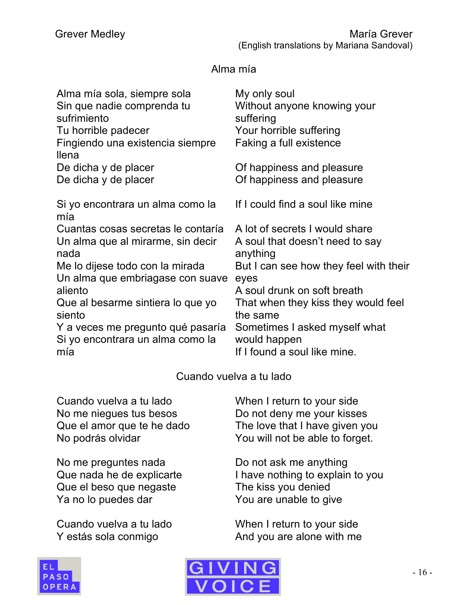#### Alma mía

| Alma mía sola, siempre sola<br>Sin que nadie comprenda tu<br>sufrimiento<br>Tu horrible padecer<br>Fingiendo una existencia siempre<br>llena | My only soul<br>Without anyone knowing your<br>suffering<br>Your horrible suffering<br>Faking a full existence |
|----------------------------------------------------------------------------------------------------------------------------------------------|----------------------------------------------------------------------------------------------------------------|
| De dicha y de placer                                                                                                                         | Of happiness and pleasure                                                                                      |
| De dicha y de placer                                                                                                                         | Of happiness and pleasure                                                                                      |
| Si yo encontrara un alma como la<br>mía                                                                                                      | If I could find a soul like mine                                                                               |
| Cuantas cosas secretas le contaría                                                                                                           | A lot of secrets I would share                                                                                 |
| Un alma que al mirarme, sin decir                                                                                                            | A soul that doesn't need to say                                                                                |
| nada                                                                                                                                         | anything                                                                                                       |
| Me lo dijese todo con la mirada                                                                                                              | But I can see how they feel with their                                                                         |
| Un alma que embriagase con suave                                                                                                             | eyes                                                                                                           |
| aliento                                                                                                                                      | A soul drunk on soft breath                                                                                    |
| Que al besarme sintiera lo que yo                                                                                                            | That when they kiss they would feel                                                                            |
| siento                                                                                                                                       | the same                                                                                                       |
| Y a veces me pregunto qué pasaría                                                                                                            | Sometimes I asked myself what                                                                                  |
| Si yo encontrara un alma como la                                                                                                             | would happen                                                                                                   |
| mía                                                                                                                                          | If I found a soul like mine.                                                                                   |

#### Cuando vuelva a tu lado

Cuando vuelva a tu lado No me niegues tus besos Que el amor que te he dado No podrás olvidar

No me preguntes nada Que nada he de explicarte Que el beso que negaste Ya no lo puedes dar

Cuando vuelva a tu lado Y estás sola conmigo

When I return to your side Do not deny me your kisses The love that I have given you You will not be able to forget.

Do not ask me anything I have nothing to explain to you The kiss you denied You are unable to give

When I return to your side And you are alone with me



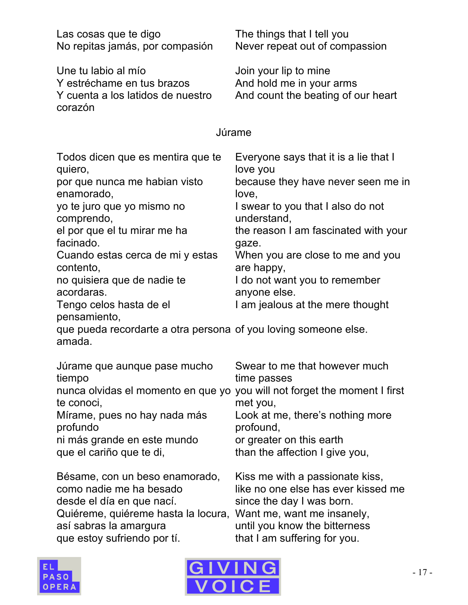| Las cosas que te digo<br>No repitas jamás, por compasión                                                                                                                                                                                                                                                                                                                                                                          | The things that I tell you<br>Never repeat out of compassion                                                                                                                                                                                                                                                                                 |
|-----------------------------------------------------------------------------------------------------------------------------------------------------------------------------------------------------------------------------------------------------------------------------------------------------------------------------------------------------------------------------------------------------------------------------------|----------------------------------------------------------------------------------------------------------------------------------------------------------------------------------------------------------------------------------------------------------------------------------------------------------------------------------------------|
| Une tu labio al mío<br>Y estréchame en tus brazos<br>Y cuenta a los latidos de nuestro<br>corazón                                                                                                                                                                                                                                                                                                                                 | Join your lip to mine<br>And hold me in your arms<br>And count the beating of our heart                                                                                                                                                                                                                                                      |
|                                                                                                                                                                                                                                                                                                                                                                                                                                   | Júrame                                                                                                                                                                                                                                                                                                                                       |
| Todos dicen que es mentira que te<br>quiero,<br>por que nunca me habian visto<br>enamorado,<br>yo te juro que yo mismo no<br>comprendo,<br>el por que el tu mirar me ha<br>facinado.<br>Cuando estas cerca de mi y estas<br>contento,<br>no quisiera que de nadie te<br>acordaras.<br>Tengo celos hasta de el<br>pensamiento,<br>que pueda recordarte a otra persona of you loving someone else.<br>amada.                        | Everyone says that it is a lie that I<br>love you<br>because they have never seen me in<br>love,<br>I swear to you that I also do not<br>understand,<br>the reason I am fascinated with your<br>gaze.<br>When you are close to me and you<br>are happy,<br>I do not want you to remember<br>anyone else.<br>I am jealous at the mere thought |
| Júrame que aunque pase mucho Swear to me that however much<br>tiempo<br>nunca olvidas el momento en que yo you will not forget the moment I first<br>te conoci,<br>Mírame, pues no hay nada más<br>profundo<br>ni más grande en este mundo<br>que el cariño que te di,<br>Bésame, con un beso enamorado,<br>como nadie me ha besado<br>desde el día en que nací.<br>Quiéreme, quiéreme hasta la locura,<br>así sabras la amargura | time passes<br>met you,<br>Look at me, there's nothing more<br>profound,<br>or greater on this earth<br>than the affection I give you,<br>Kiss me with a passionate kiss,<br>like no one else has ever kissed me<br>since the day I was born.<br>Want me, want me insanely,<br>until you know the bitterness                                 |
| que estoy sufriendo por tí.                                                                                                                                                                                                                                                                                                                                                                                                       | that I am suffering for you.                                                                                                                                                                                                                                                                                                                 |



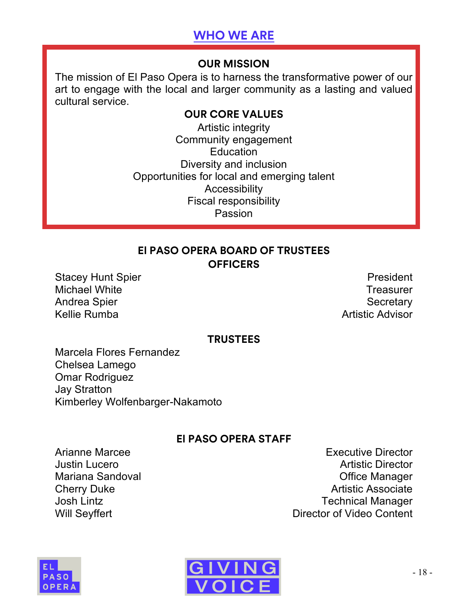## **WHO WE ARE**

#### **OUR MISSION**

The mission of El Paso Opera is to harness the transformative power of our art to engage with the local and larger community as a lasting and valued cultural service.

#### **OUR CORE VALUES**

Artistic integrity Community engagement **Education** Diversity and inclusion Opportunities for local and emerging talent Accessibility Fiscal responsibility Passion

#### **El PASO OPERA BOARD OF TRUSTEES OFFICERS**

Stacey Hunt Spier **President** Michael White **Treasurer** Michael White **Treasurer** Andrea Spier Secretary Andrea Spier Secretary Secretary Kellie Rumba **Artistic Advisor** 

#### **TRUSTEES**

Marcela Flores Fernandez Chelsea Lamego Omar Rodriguez Jay Stratton Kimberley Wolfenbarger-Nakamoto

#### **El PASO OPERA STAFF**

Arianne Marcee **Executive Director Justin Lucero** Artistic Director Mariana Sandoval **Mariana** Sandoval **Mariana** Sandoval **Mariana** Office Manager Cherry Duke **Artistic Associate** Artistic Associate Josh Lintz **Technical Manager** Will Seyffert **Will Seyffert Director of Video Content**